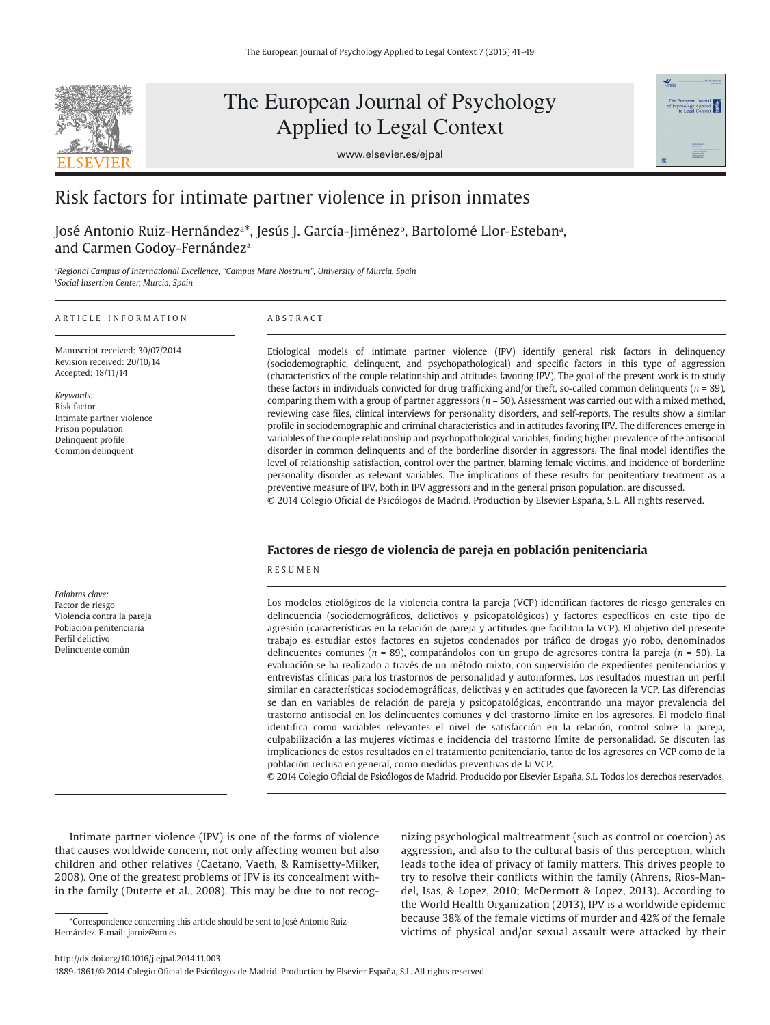

# The European Journal of Psychology Applied to Legal Context

www.elsevier.es/ejpal



# Risk factors for intimate partner violence in prison inmates

José Antonio Ruiz-Hernándezª\*, Jesús J. García-Jiménezʰ, Bartolomé Llor-Estebanª, and Carmen Godoy-Fernández<sup>a</sup>

*<sup>a</sup>Regional Campus of International Excellence, "Campus Mare Nostrum", University of Murcia, Spain <sup>b</sup>Social Insertion Center, Murcia, Spain*

#### A R T I C L E I N F O R M A T I O N

Manuscript received: 30/07/2014 Revision received: 20/10/14 Accepted: 18/11/14

*Keywords:* Risk factor Intimate partner violence Prison population Delinquent profile Common delinquent

*Palabras clave:*  Factor de riesgo Violencia contra la pareja Población penitenciaria Perfil delictivo Delincuente común

# A B S T R A C T

Etiological models of intimate partner violence (IPV) identify general risk factors in delinquency (sociodemographic, delinquent, and psychopathological) and specific factors in this type of aggression (characteristics of the couple relationship and attitudes favoring IPV). The goal of the present work is to study these factors in individuals convicted for drug trafficking and/or theft, so-called common delinquents ( $n = 89$ ), comparing them with a group of partner aggressors (*n* = 50). Assessment was carried out with a mixed method, reviewing case files, clinical interviews for personality disorders, and self-reports. The results show a similar profile in sociodemographic and criminal characteristics and in attitudes favoring IPV. The differences emerge in variables of the couple relationship and psychopathological variables, finding higher prevalence of the antisocial disorder in common delinquents and of the borderline disorder in aggressors. The final model identifies the level of relationship satisfaction, control over the partner, blaming female victims, and incidence of borderline personality disorder as relevant variables. The implications of these results for penitentiary treatment as a preventive measure of IPV, both in IPV aggressors and in the general prison population, are discussed. © 2014 Colegio Oficial de Psicólogos de Madrid. Production by Elsevier España, S.L. All rights reserved.

# **Factores de riesgo de violencia de pareja en población penitenciaria**

R E S U M E N

Los modelos etiológicos de la violencia contra la pareja (VCP) identifican factores de riesgo generales en delincuencia (sociodemográficos, delictivos y psicopatológicos) y factores específicos en este tipo de agresión (características en la relación de pareja y actitudes que facilitan la VCP). El objetivo del presente trabajo es estudiar estos factores en sujetos condenados por tráfico de drogas y/o robo, denominados delincuentes comunes (*n* = 89), comparándolos con un grupo de agresores contra la pareja (*n* = 50). La evaluación se ha realizado a través de un método mixto, con supervisión de expedientes penitenciarios y entrevistas clínicas para los trastornos de personalidad y autoinformes. Los resultados muestran un perfil similar en características sociodemográficas, delictivas y en actitudes que favorecen la VCP. Las diferencias se dan en variables de relación de pareja y psicopatológicas, encontrando una mayor prevalencia del trastorno antisocial en los delincuentes comunes y del trastorno límite en los agresores. El modelo final identifica como variables relevantes el nivel de satisfacción en la relación, control sobre la pareja, culpabilización a las mujeres víctimas e incidencia del trastorno límite de personalidad. Se discuten las implicaciones de estos resultados en el tratamiento penitenciario, tanto de los agresores en VCP como de la población reclusa en general, como medidas preventivas de la VCP.

© 2014 Colegio Oficial de Psicólogos de Madrid. Producido por Elsevier España, S.L. Todos los derechos reservados.

Intimate partner violence (IPV) is one of the forms of violence that causes worldwide concern, not only affecting women but also children and other relatives (Caetano, Vaeth, & Ramisetty-Milker, 2008). One of the greatest problems of IPV is its concealment within the family (Duterte et al., 2008). This may be due to not recognizing psychological maltreatment (such as control or coercion) as aggression, and also to the cultural basis of this perception, which leads to the idea of privacy of family matters. This drives people to try to resolve their conflicts within the family (Ahrens, Rios-Mandel, Isas, & Lopez, 2010; McDermott & Lopez, 2013). According to the World Health Organization (2013), IPV is a worldwide epidemic because 38% of the female victims of murder and 42% of the female victims of physical and/or sexual assault were attacked by their

http://dx.doi.org/10.1016/j.ejpal.2014.11.003

<sup>\*</sup>Correspondence concerning this article should be sent to José Antonio Ruiz-Hernández. E-mail: jaruiz@um.es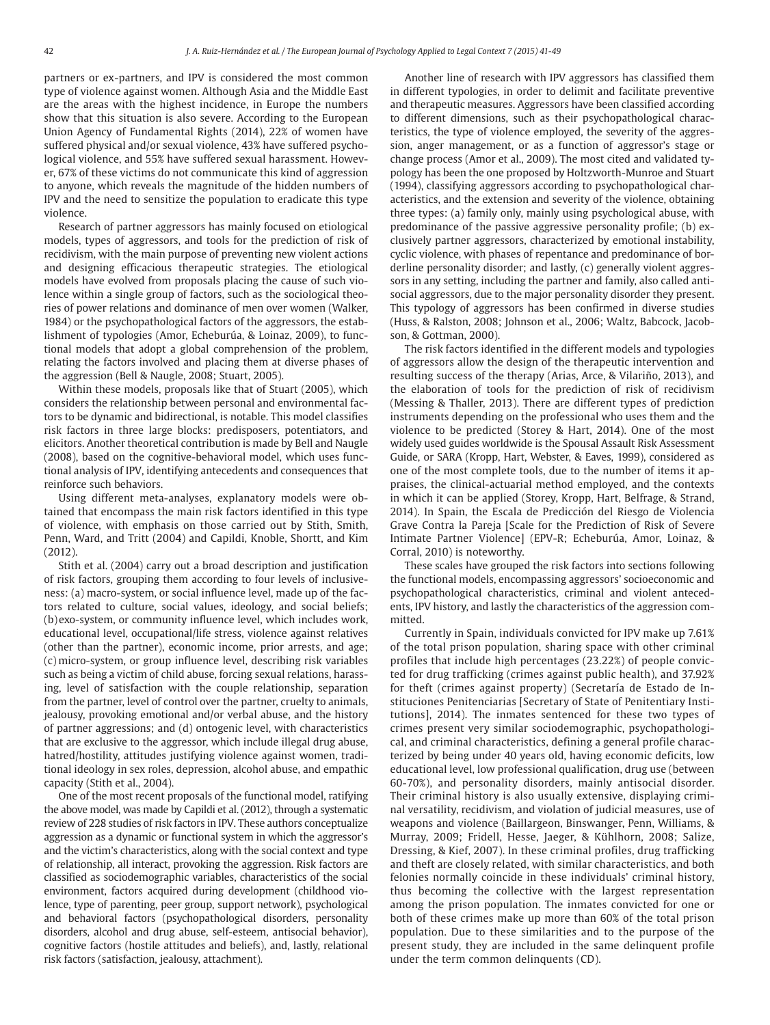partners or ex-partners, and IPV is considered the most common type of violence against women. Although Asia and the Middle East are the areas with the highest incidence, in Europe the numbers show that this situation is also severe. According to the European Union Agency of Fundamental Rights (2014), 22% of women have suffered physical and/or sexual violence, 43% have suffered psychological violence, and 55% have suffered sexual harassment. However, 67% of these victims do not communicate this kind of aggression to anyone, which reveals the magnitude of the hidden numbers of IPV and the need to sensitize the population to eradicate this type violence.

Research of partner aggressors has mainly focused on etiological models, types of aggressors, and tools for the prediction of risk of recidivism, with the main purpose of preventing new violent actions and designing efficacious therapeutic strategies. The etiological models have evolved from proposals placing the cause of such violence within a single group of factors, such as the sociological theories of power relations and dominance of men over women (Walker, 1984) or the psychopathological factors of the aggressors, the establishment of typologies (Amor, Echeburúa, & Loinaz, 2009), to functional models that adopt a global comprehension of the problem, relating the factors involved and placing them at diverse phases of the aggression (Bell & Naugle, 2008; Stuart, 2005).

Within these models, proposals like that of Stuart (2005), which considers the relationship between personal and environmental factors to be dynamic and bidirectional, is notable. This model classifies risk factors in three large blocks: predisposers, potentiators, and elicitors. Another theoretical contribution is made by Bell and Naugle (2008), based on the cognitive-behavioral model, which uses functional analysis of IPV, identifying antecedents and consequences that reinforce such behaviors.

Using different meta-analyses, explanatory models were obtained that encompass the main risk factors identified in this type of violence, with emphasis on those carried out by Stith, Smith, Penn, Ward, and Tritt (2004) and Capildi, Knoble, Shortt, and Kim (2012).

Stith et al. (2004) carry out a broad description and justification of risk factors, grouping them according to four levels of inclusiveness: (a) macro-system, or social influence level, made up of the factors related to culture, social values, ideology, and social beliefs; (b) exo-system, or community influence level, which includes work, educational level, occupational/life stress, violence against relatives (other than the partner), economic income, prior arrests, and age; (c) micro-system, or group influence level, describing risk variables such as being a victim of child abuse, forcing sexual relations, harassing, level of satisfaction with the couple relationship, separation from the partner, level of control over the partner, cruelty to animals, jealousy, provoking emotional and/or verbal abuse, and the history of partner aggressions; and (d) ontogenic level, with characteristics that are exclusive to the aggressor, which include illegal drug abuse, hatred/hostility, attitudes justifying violence against women, traditional ideology in sex roles, depression, alcohol abuse, and empathic capacity (Stith et al., 2004).

One of the most recent proposals of the functional model, ratifying the above model, was made by Capildi et al. (2012), through a systematic review of 228 studies of risk factors in IPV. These authors conceptualize aggression as a dynamic or functional system in which the aggressor's and the victim's characteristics, along with the social context and type of relationship, all interact, provoking the aggression. Risk factors are classified as sociodemographic variables, characteristics of the social environment, factors acquired during development (childhood violence, type of parenting, peer group, support network), psychological and behavioral factors (psychopathological disorders, personality disorders, alcohol and drug abuse, self-esteem, antisocial behavior), cognitive factors (hostile attitudes and beliefs), and, lastly, relational risk factors (satisfaction, jealousy, attachment).

Another line of research with IPV aggressors has classified them in different typologies, in order to delimit and facilitate preventive and therapeutic measures. Aggressors have been classified according to different dimensions, such as their psychopathological characteristics, the type of violence employed, the severity of the aggression, anger management, or as a function of aggressor's stage or change process (Amor et al., 2009). The most cited and validated typology has been the one proposed by Holtzworth-Munroe and Stuart (1994), classifying aggressors according to psychopathological characteristics, and the extension and severity of the violence, obtaining three types: (a) family only, mainly using psychological abuse, with predominance of the passive aggressive personality profile; (b) exclusively partner aggressors, characterized by emotional instability, cyclic violence, with phases of repentance and predominance of borderline personality disorder; and lastly, (c) generally violent aggressors in any setting, including the partner and family, also called antisocial aggressors, due to the major personality disorder they present. This typology of aggressors has been confirmed in diverse studies (Huss, & Ralston, 2008; Johnson et al., 2006; Waltz, Babcock, Jacobson, & Gottman, 2000).

The risk factors identified in the different models and typologies of aggressors allow the design of the therapeutic intervention and resulting success of the therapy (Arias, Arce, & Vilariño, 2013), and the elaboration of tools for the prediction of risk of recidivism (Messing & Thaller, 2013). There are different types of prediction instruments depending on the professional who uses them and the violence to be predicted (Storey & Hart, 2014). One of the most widely used guides worldwide is the Spousal Assault Risk Assessment Guide, or SARA (Kropp, Hart, Webster, & Eaves, 1999), considered as one of the most complete tools, due to the number of items it appraises, the clinical-actuarial method employed, and the contexts in which it can be applied (Storey, Kropp, Hart, Belfrage, & Strand, 2014). In Spain, the Escala de Predicción del Riesgo de Violencia Grave Contra la Pareja [Scale for the Prediction of Risk of Severe Intimate Partner Violence] (EPV-R; Echeburúa, Amor, Loinaz, & Corral, 2010) is noteworthy.

These scales have grouped the risk factors into sections following the functional models, encompassing aggressors' socioeconomic and psychopathological characteristics, criminal and violent antecedents, IPV history, and lastly the characteristics of the aggression committed.

Currently in Spain, individuals convicted for IPV make up 7.61% of the total prison population, sharing space with other criminal profiles that include high percentages (23.22%) of people convicted for drug trafficking (crimes against public health), and 37.92% for theft (crimes against property) (Secretaría de Estado de Instituciones Penitenciarias [Secretary of State of Penitentiary Institutions], 2014). The inmates sentenced for these two types of crimes present very similar sociodemographic, psychopathological, and criminal characteristics, defining a general profile characterized by being under 40 years old, having economic deficits, low educational level, low professional qualification, drug use (between 60-70%), and personality disorders, mainly antisocial disorder. Their criminal history is also usually extensive, displaying criminal versatility, recidivism, and violation of judicial measures, use of weapons and violence (Baillargeon, Binswanger, Penn, Williams, & Murray, 2009; Fridell, Hesse, Jaeger, & Kühlhorn, 2008; Salize, Dressing, & Kief, 2007). In these criminal profiles, drug trafficking and theft are closely related, with similar characteristics, and both felonies normally coincide in these individuals' criminal history, thus becoming the collective with the largest representation among the prison population. The inmates convicted for one or both of these crimes make up more than 60% of the total prison population. Due to these similarities and to the purpose of the present study, they are included in the same delinquent profile under the term common delinquents (CD).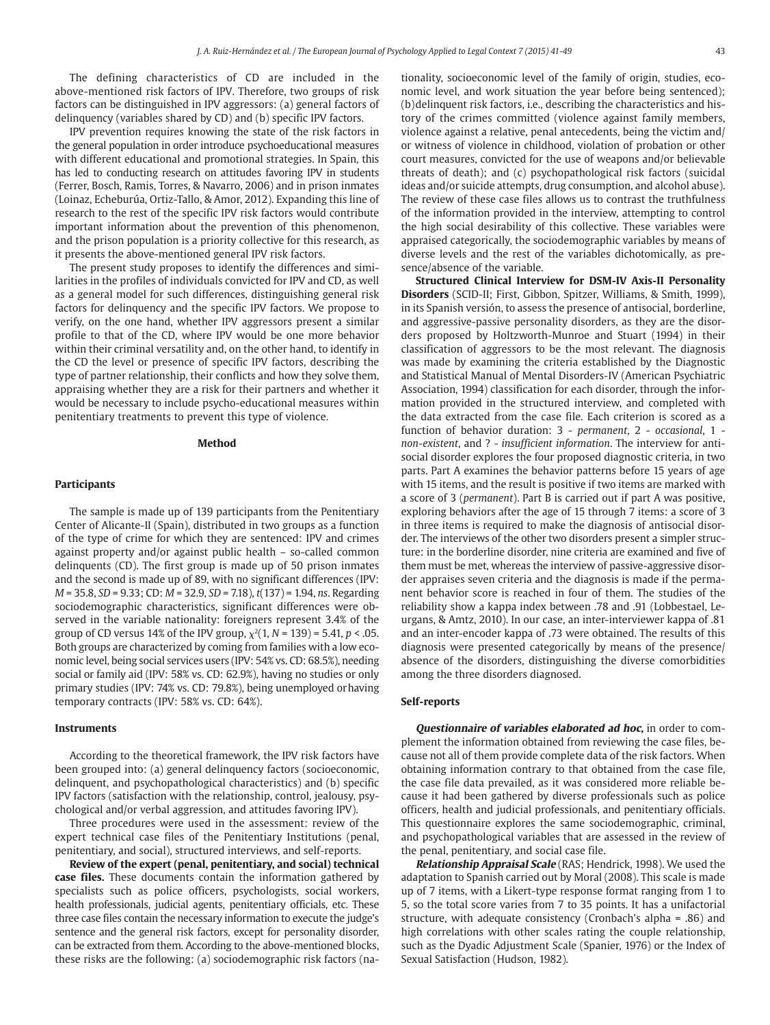The defining characteristics of CD are included in the above-mentioned risk factors of IPV. Therefore, two groups of risk factors can be distinguished in IPV aggressors: (a) general factors of delinquency (variables shared by CD) and (b) specific IPV factors.

IPV prevention requires knowing the state of the risk factors in the general population in order introduce psychoeducational measures with different educational and promotional strategies. In Spain, this has led to conducting research on attitudes favoring IPV in students (Ferrer, Bosch, Ramis, Torres, & Navarro, 2006) and in prison inmates (Loinaz, Echeburúa, Ortiz-Tallo, & Amor, 2012). Expanding this line of research to the rest of the specific IPV risk factors would contribute important information about the prevention of this phenomenon, and the prison population is a priority collective for this research, as it presents the above-mentioned general IPV risk factors.

The present study proposes to identify the differences and similarities in the profiles of individuals convicted for IPV and CD, as well as a general model for such differences, distinguishing general risk factors for delinquency and the specific IPV factors. We propose to verify, on the one hand, whether IPV aggressors present a similar profile to that of the CD, where IPV would be one more behavior within their criminal versatility and, on the other hand, to identify in the CD the level or presence of specific IPV factors, describing the type of partner relationship, their conflicts and how they solve them, appraising whether they are a risk for their partners and whether it would be necessary to include psycho-educational measures within penitentiary treatments to prevent this type of violence.

#### **Method**

#### **Participants**

The sample is made up of 139 participants from the Penitentiary Center of Alicante-II (Spain), distributed in two groups as a function of the type of crime for which they are sentenced: IPV and crimes against property and/or against public health – so-called common delinquents (CD). The first group is made up of 50 prison inmates and the second is made up of 89, with no significant differences (IPV: *M* = 35.8, *SD* = 9.33; CD: *M* = 32.9, *SD* = 7.18), *t*(137) = 1.94, *ns*. Regarding sociodemographic characteristics, significant differences were observed in the variable nationality: foreigners represent 3.4% of the group of CD versus 14% of the IPV group,  $\chi^2(1, N = 139) = 5.41, p < .05$ . Both groups are characterized by coming from families with a low economic level, being social services users (IPV: 54% vs. CD: 68.5%), needing social or family aid (IPV: 58% vs. CD: 62.9%), having no studies or only primary studies (IPV: 74% vs. CD: 79.8%), being unemployed or having temporary contracts (IPV: 58% vs. CD: 64%).

#### **Instruments**

According to the theoretical framework, the IPV risk factors have been grouped into: (a) general delinquency factors (socioeconomic, delinquent, and psychopathological characteristics) and (b) specific IPV factors (satisfaction with the relationship, control, jealousy, psychological and/or verbal aggression, and attitudes favoring IPV).

Three procedures were used in the assessment: review of the expert technical case files of the Penitentiary Institutions (penal, penitentiary, and social), structured interviews, and self-reports.

**Review of the expert (penal, penitentiary, and social) technical case files.** These documents contain the information gathered by specialists such as police officers, psychologists, social workers, health professionals, judicial agents, penitentiary officials, etc. These three case files contain the necessary information to execute the judge's sentence and the general risk factors, except for personality disorder, can be extracted from them. According to the above-mentioned blocks, these risks are the following: (a) sociodemographic risk factors (nationality, socioeconomic level of the family of origin, studies, economic level, and work situation the year before being sentenced); (b) delinquent risk factors, i.e., describing the characteristics and history of the crimes committed (violence against family members, violence against a relative, penal antecedents, being the victim and/ or witness of violence in childhood, violation of probation or other court measures, convicted for the use of weapons and/or believable threats of death); and (c) psychopathological risk factors (suicidal ideas and/or suicide attempts, drug consumption, and alcohol abuse). The review of these case files allows us to contrast the truthfulness of the information provided in the interview, attempting to control the high social desirability of this collective. These variables were appraised categorically, the sociodemographic variables by means of diverse levels and the rest of the variables dichotomically, as presence/absence of the variable.

**Structured Clinical Interview for DSM-IV Axis-II Personality Disorders** (SCID-II; First, Gibbon, Spitzer, Williams, & Smith, 1999), in its Spanish versión, to assess the presence of antisocial, borderline, and aggressive-passive personality disorders, as they are the disorders proposed by Holtzworth-Munroe and Stuart (1994) in their classification of aggressors to be the most relevant. The diagnosis was made by examining the criteria established by the Diagnostic and Statistical Manual of Mental Disorders*-*IV (American Psychiatric Association, 1994) classification for each disorder, through the information provided in the structured interview, and completed with the data extracted from the case file. Each criterion is scored as a function of behavior duration: 3 - *permanent*, 2 - *occasional*, 1 *non-existent*, and ? - *insufficient information*. The interview for antisocial disorder explores the four proposed diagnostic criteria, in two parts. Part A examines the behavior patterns before 15 years of age with 15 items, and the result is positive if two items are marked with a score of 3 (*permanent*). Part B is carried out if part A was positive, exploring behaviors after the age of 15 through 7 items: a score of 3 in three items is required to make the diagnosis of antisocial disorder. The interviews of the other two disorders present a simpler structure: in the borderline disorder, nine criteria are examined and five of them must be met, whereas the interview of passive-aggressive disorder appraises seven criteria and the diagnosis is made if the permanent behavior score is reached in four of them. The studies of the reliability show a kappa index between .78 and .91 (Lobbestael, Leurgans, & Amtz, 2010). In our case, an inter-interviewer kappa of .81 and an inter-encoder kappa of .73 were obtained. The results of this diagnosis were presented categorically by means of the presence/ absence of the disorders, distinguishing the diverse comorbidities among the three disorders diagnosed.

#### **Self-reports**

**Questionnaire of variables elaborated ad hoc,** in order to complement the information obtained from reviewing the case files, because not all of them provide complete data of the risk factors. When obtaining information contrary to that obtained from the case file, the case file data prevailed, as it was considered more reliable because it had been gathered by diverse professionals such as police officers, health and judicial professionals, and penitentiary officials. This questionnaire explores the same sociodemographic, criminal, and psychopathological variables that are assessed in the review of the penal, penitentiary, and social case file.

**Relationship Appraisal Scale** (RAS; Hendrick, 1998). We used the adaptation to Spanish carried out by Moral (2008). This scale is made up of 7 items, with a Likert-type response format ranging from 1 to 5, so the total score varies from 7 to 35 points. It has a unifactorial structure, with adequate consistency (Cronbach's alpha = .86) and high correlations with other scales rating the couple relationship, such as the Dyadic Adjustment Scale (Spanier, 1976) or the Index of Sexual Satisfaction (Hudson, 1982).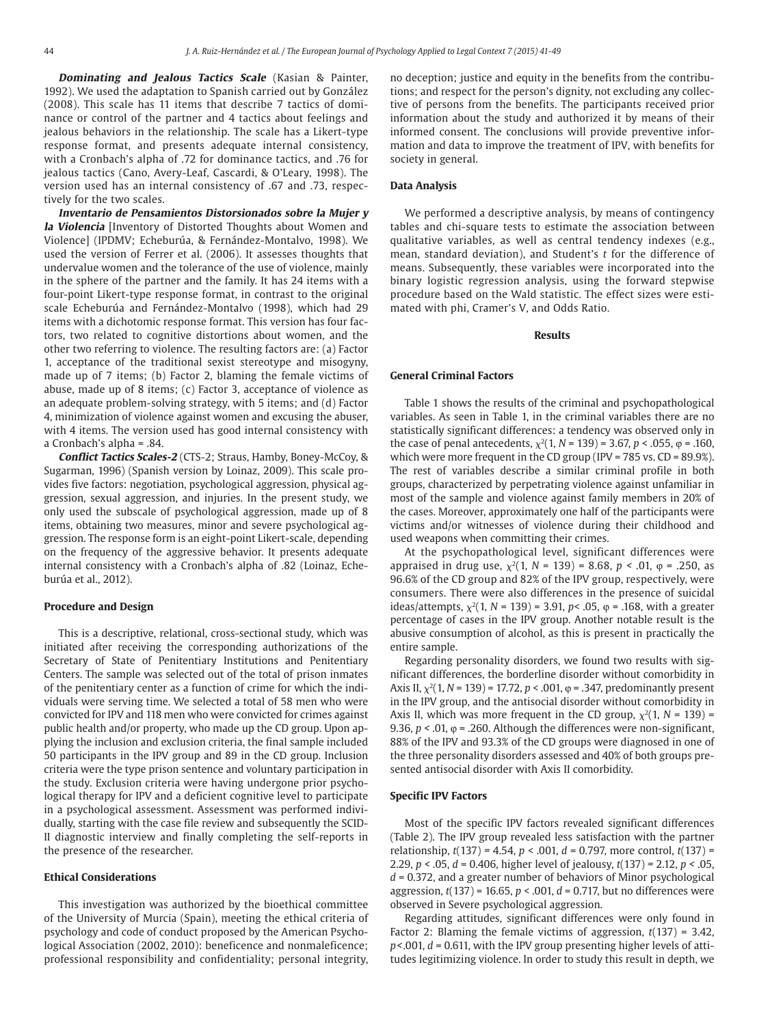**Dominating and Jealous Tactics Scale** (Kasian & Painter, 1992). We used the adaptation to Spanish carried out by González (2008). This scale has 11 items that describe 7 tactics of dominance or control of the partner and 4 tactics about feelings and jealous behaviors in the relationship. The scale has a Likert-type response format, and presents adequate internal consistency, with a Cronbach's alpha of .72 for dominance tactics, and .76 for jealous tactics (Cano, Avery-Leaf, Cascardi, & O'Leary, 1998). The version used has an internal consistency of .67 and .73, respectively for the two scales.

**Inventario de Pensamientos Distorsionados sobre la Mujer y la Violencia** [Inventory of Distorted Thoughts about Women and Violence] (IPDMV; Echeburúa, & Fernández-Montalvo, 1998). We used the version of Ferrer et al. (2006). It assesses thoughts that undervalue women and the tolerance of the use of violence, mainly in the sphere of the partner and the family. It has 24 items with a four-point Likert-type response format, in contrast to the original scale Echeburúa and Fernández-Montalvo (1998), which had 29 items with a dichotomic response format. This version has four factors, two related to cognitive distortions about women, and the other two referring to violence. The resulting factors are: (a) Factor 1, acceptance of the traditional sexist stereotype and misogyny, made up of 7 items; (b) Factor 2, blaming the female victims of abuse, made up of 8 items; (c) Factor 3, acceptance of violence as an adequate problem-solving strategy, with 5 items; and (d) Factor 4, minimization of violence against women and excusing the abuser, with 4 items. The version used has good internal consistency with a Cronbach's alpha = .84.

**Conflict Tactics Scales-2** (CTS-2; Straus, Hamby, Boney-McCoy, & Sugarman, 1996) (Spanish version by Loinaz, 2009). This scale provides five factors: negotiation, psychological aggression, physical aggression, sexual aggression, and injuries. In the present study, we only used the subscale of psychological aggression, made up of 8 items, obtaining two measures, minor and severe psychological aggression. The response form is an eight-point Likert-scale, depending on the frequency of the aggressive behavior. It presents adequate internal consistency with a Cronbach's alpha of .82 (Loinaz, Echeburúa et al., 2012).

#### **Procedure and Design**

This is a descriptive, relational, cross-sectional study, which was initiated after receiving the corresponding authorizations of the Secretary of State of Penitentiary Institutions and Penitentiary Centers. The sample was selected out of the total of prison inmates of the penitentiary center as a function of crime for which the individuals were serving time. We selected a total of 58 men who were convicted for IPV and 118 men who were convicted for crimes against public health and/or property, who made up the CD group. Upon applying the inclusion and exclusion criteria, the final sample included 50 participants in the IPV group and 89 in the CD group. Inclusion criteria were the type prison sentence and voluntary participation in the study. Exclusion criteria were having undergone prior psychological therapy for IPV and a deficient cognitive level to participate in a psychological assessment. Assessment was performed individually, starting with the case file review and subsequently the SCID-II diagnostic interview and finally completing the self-reports in the presence of the researcher.

# **Ethical Considerations**

This investigation was authorized by the bioethical committee of the University of Murcia (Spain), meeting the ethical criteria of psychology and code of conduct proposed by the American Psychological Association (2002, 2010): beneficence and nonmaleficence; professional responsibility and confidentiality; personal integrity, no deception; justice and equity in the benefits from the contributions; and respect for the person's dignity, not excluding any collective of persons from the benefits. The participants received prior information about the study and authorized it by means of their informed consent. The conclusions will provide preventive information and data to improve the treatment of IPV, with benefits for society in general.

#### **Data Analysis**

We performed a descriptive analysis, by means of contingency tables and chi-square tests to estimate the association between qualitative variables, as well as central tendency indexes (e.g., mean, standard deviation), and Student's *t* for the difference of means. Subsequently, these variables were incorporated into the binary logistic regression analysis, using the forward stepwise procedure based on the Wald statistic. The effect sizes were estimated with phi, Cramer's V, and Odds Ratio.

# **Results**

#### **General Criminal Factors**

Table 1 shows the results of the criminal and psychopathological variables. As seen in Table 1, in the criminal variables there are no statistically significant differences: a tendency was observed only in the case of penal antecedents,  $\chi^2(1, N = 139) = 3.67$ , *p* < .055, φ = .160, which were more frequent in the CD group (IPV = 785 vs. CD = 89.9%). The rest of variables describe a similar criminal profile in both groups, characterized by perpetrating violence against unfamiliar in most of the sample and violence against family members in 20% of the cases. Moreover, approximately one half of the participants were victims and/or witnesses of violence during their childhood and used weapons when committing their crimes.

At the psychopathological level, significant differences were appraised in drug use,  $\chi^2(1, N = 139) = 8.68$ ,  $p < .01$ ,  $\varphi = .250$ , as 96.6% of the CD group and 82% of the IPV group, respectively, were consumers. There were also differences in the presence of suicidal ideas/attempts,  $\chi^2(1, N = 139) = 3.91$ ,  $p < .05$ ,  $\varphi = .168$ , with a greater percentage of cases in the IPV group. Another notable result is the abusive consumption of alcohol, as this is present in practically the entire sample.

Regarding personality disorders, we found two results with significant differences, the borderline disorder without comorbidity in Axis II,  $\chi^2(1, N = 139) = 17.72$ ,  $p < .001$ ,  $\varphi = .347$ , predominantly present in the IPV group, and the antisocial disorder without comorbidity in Axis II, which was more frequent in the CD group,  $\chi^2(1, N = 139)$  = 9.36,  $p < .01$ ,  $\varphi = .260$ . Although the differences were non-significant, 88% of the IPV and 93.3% of the CD groups were diagnosed in one of the three personality disorders assessed and 40% of both groups presented antisocial disorder with Axis II comorbidity.

#### **Specific IPV Factors**

Most of the specific IPV factors revealed significant differences (Table 2). The IPV group revealed less satisfaction with the partner relationship, *t*(137) *=* 4.54, *p* < .001, *d* = 0.797, more control, *t*(137) *=*  2.29, *p <* .05, *d* = 0.406, higher level of jealousy, *t*(137) *=* 2.12, *p <* .05, *d* = 0.372, and a greater number of behaviors of Minor psychological aggression, *t*(137) = 16.65, *p* < .001, *d* = 0.717, but no differences were observed in Severe psychological aggression.

Regarding attitudes, significant differences were only found in Factor 2: Blaming the female victims of aggression, *t*(137) = 3.42, *p <* .001, *d* = 0.611, with the IPV group presenting higher levels of attitudes legitimizing violence. In order to study this result in depth, we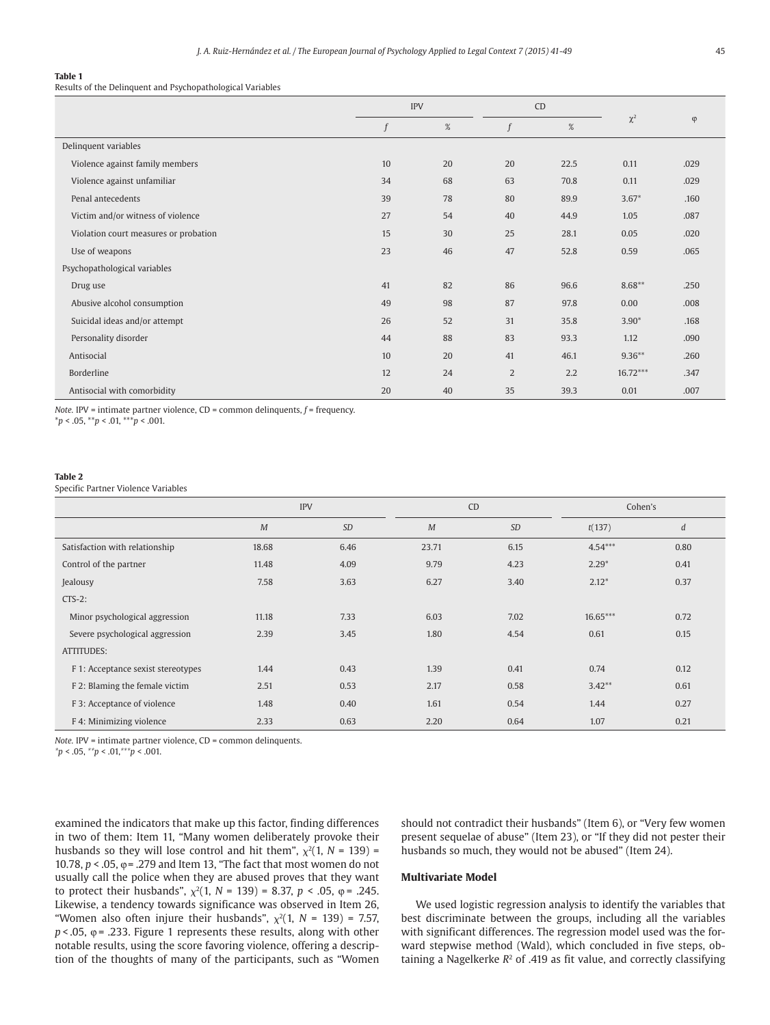#### **Table 1**

Results of the Delinquent and Psychopathological Variables

|                                       | <b>IPV</b> |    | CD             |      |            |           |
|---------------------------------------|------------|----|----------------|------|------------|-----------|
|                                       | f          | %  |                | %    | $\chi^2$   | $\varphi$ |
| Delinquent variables                  |            |    |                |      |            |           |
| Violence against family members       | 10         | 20 | 20             | 22.5 | 0.11       | .029      |
| Violence against unfamiliar           | 34         | 68 | 63             | 70.8 | 0.11       | .029      |
| Penal antecedents                     | 39         | 78 | 80             | 89.9 | $3.67*$    | .160      |
| Victim and/or witness of violence     | 27         | 54 | 40             | 44.9 | 1.05       | .087      |
| Violation court measures or probation | 15         | 30 | 25             | 28.1 | 0.05       | .020      |
| Use of weapons                        | 23         | 46 | 47             | 52.8 | 0.59       | .065      |
| Psychopathological variables          |            |    |                |      |            |           |
| Drug use                              | 41         | 82 | 86             | 96.6 | $8.68**$   | .250      |
| Abusive alcohol consumption           | 49         | 98 | 87             | 97.8 | 0.00       | .008      |
| Suicidal ideas and/or attempt         | 26         | 52 | 31             | 35.8 | $3.90*$    | .168      |
| Personality disorder                  | 44         | 88 | 83             | 93.3 | 1.12       | .090      |
| Antisocial                            | 10         | 20 | 41             | 46.1 | $9.36**$   | .260      |
| Borderline                            | 12         | 24 | $\overline{2}$ | 2.2  | $16.72***$ | .347      |
| Antisocial with comorbidity           | 20         | 40 | 35             | 39.3 | 0.01       | .007      |

*Note.* IPV = intimate partner violence, CD = common delinquents,  $f$  = frequency.

\**p* < .05, \*\**p* < .01, \*\*\**p* < .001.

#### **Table 2**

Specific Partner Violence Variables

|                                    | <b>IPV</b> |           | CD    |           | Cohen's    |                  |  |
|------------------------------------|------------|-----------|-------|-----------|------------|------------------|--|
|                                    | M          | <b>SD</b> | M     | <b>SD</b> | t(137)     | $\boldsymbol{d}$ |  |
| Satisfaction with relationship     | 18.68      | 6.46      | 23.71 | 6.15      | $4.54***$  | 0.80             |  |
| Control of the partner             | 11.48      | 4.09      | 9.79  | 4.23      | $2.29*$    | 0.41             |  |
| Jealousy                           | 7.58       | 3.63      | 6.27  | 3.40      | $2.12*$    | 0.37             |  |
| $CTS-2$ :                          |            |           |       |           |            |                  |  |
| Minor psychological aggression     | 11.18      | 7.33      | 6.03  | 7.02      | $16.65***$ | 0.72             |  |
| Severe psychological aggression    | 2.39       | 3.45      | 1.80  | 4.54      | 0.61       | 0.15             |  |
| ATTITUDES:                         |            |           |       |           |            |                  |  |
| F 1: Acceptance sexist stereotypes | 1.44       | 0.43      | 1.39  | 0.41      | 0.74       | 0.12             |  |
| F 2: Blaming the female victim     | 2.51       | 0.53      | 2.17  | 0.58      | $3.42**$   | 0.61             |  |
| F 3: Acceptance of violence        | 1.48       | 0.40      | 1.61  | 0.54      | 1.44       | 0.27             |  |
| F 4: Minimizing violence           | 2.33       | 0.63      | 2.20  | 0.64      | 1.07       | 0.21             |  |

*Note.* IPV = intimate partner violence, CD = common delinquents.

*\*p* < .05, *\*\*p* < .01,*\*\*\*p* < .001.

examined the indicators that make up this factor, finding differences in two of them: Item 11, "Many women deliberately provoke their husbands so they will lose control and hit them",  $\chi^2(1, N = 139)$  = 10.78, *p* < .05, *φ* = .279 and Item 13, "The fact that most women do not usually call the police when they are abused proves that they want to protect their husbands",  $\chi^2(1, N = 139) = 8.37, p < .05, φ = .245.$ Likewise, a tendency towards significance was observed in Item 26, "Women also often injure their husbands",  $\chi^2(1, N = 139) = 7.57$ ,  $p < .05$ ,  $\varphi = .233$ . Figure 1 represents these results, along with other notable results, using the score favoring violence, offering a description of the thoughts of many of the participants, such as "Women

should not contradict their husbands" (Item 6), or "Very few women present sequelae of abuse" (Item 23), or "If they did not pester their husbands so much, they would not be abused" (Item 24).

# **Multivariate Model**

We used logistic regression analysis to identify the variables that best discriminate between the groups, including all the variables with significant differences. The regression model used was the forward stepwise method (Wald), which concluded in five steps, obtaining a Nagelkerke  $R<sup>2</sup>$  of .419 as fit value, and correctly classifying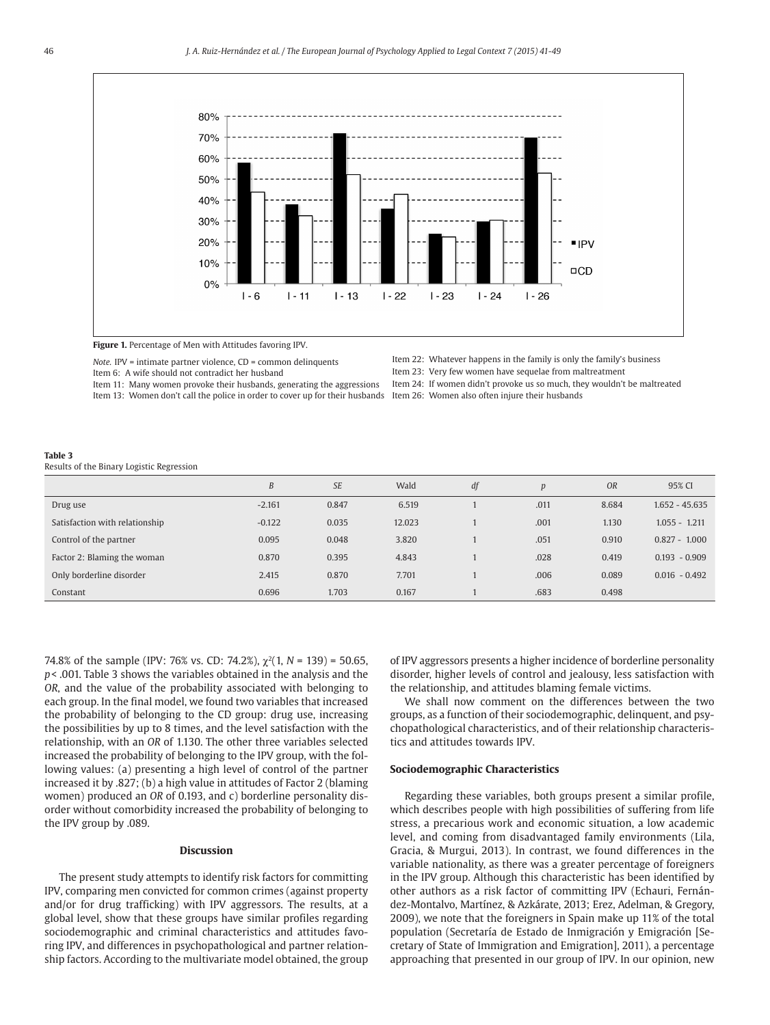

**Figure 1.** Percentage of Men with Attitudes favoring IPV.

*Note.* IPV = intimate partner violence, CD = common delinquents Item 6: A wife should not contradict her husband

Item 11: Many women provoke their husbands, generating the aggressions Item 13: Women don't call the police in order to cover up for their husbands Item 26: Women also often injure their husbands

- Item 22: Whatever happens in the family is only the family's business
- Item 23: Very few women have sequelae from maltreatment
- Item 24: If women didn't provoke us so much, they wouldn't be maltreated

#### **Table 3**

Results of the Binary Logistic Regression

|                                | B        | <b>SE</b> | Wald   | df | $\boldsymbol{p}$ | <b>OR</b> | 95% CI           |
|--------------------------------|----------|-----------|--------|----|------------------|-----------|------------------|
| Drug use                       | $-2.161$ | 0.847     | 6.519  |    | .011             | 8.684     | $1.652 - 45.635$ |
| Satisfaction with relationship | $-0.122$ | 0.035     | 12.023 |    | .001             | 1.130     | $1.055 - 1.211$  |
| Control of the partner         | 0.095    | 0.048     | 3.820  |    | .051             | 0.910     | $0.827 - 1.000$  |
| Factor 2: Blaming the woman    | 0.870    | 0.395     | 4.843  |    | .028             | 0.419     | $0.193 - 0.909$  |
| Only borderline disorder       | 2.415    | 0.870     | 7.701  |    | .006             | 0.089     | $0.016 - 0.492$  |
| Constant                       | 0.696    | 1.703     | 0.167  |    | .683             | 0.498     |                  |

74.8% of the sample (IPV: 76% vs. CD: 74.2%),  $\chi^2(1, N = 139) = 50.65$ , *p* < .001. Table 3 shows the variables obtained in the analysis and the *OR*, and the value of the probability associated with belonging to each group. In the final model, we found two variables that increased the probability of belonging to the CD group: drug use, increasing the possibilities by up to 8 times, and the level satisfaction with the relationship, with an *OR* of 1.130. The other three variables selected increased the probability of belonging to the IPV group, with the following values: (a) presenting a high level of control of the partner increased it by .827; (b) a high value in attitudes of Factor 2 (blaming women) produced an *OR* of 0.193, and c) borderline personality disorder without comorbidity increased the probability of belonging to the IPV group by .089.

# **Discussion**

The present study attempts to identify risk factors for committing IPV, comparing men convicted for common crimes (against property and/or for drug trafficking) with IPV aggressors. The results, at a global level, show that these groups have similar profiles regarding sociodemographic and criminal characteristics and attitudes favoring IPV, and differences in psychopathological and partner relationship factors. According to the multivariate model obtained, the group of IPV aggressors presents a higher incidence of borderline personality disorder, higher levels of control and jealousy, less satisfaction with the relationship, and attitudes blaming female victims.

We shall now comment on the differences between the two groups, as a function of their sociodemographic, delinquent, and psychopathological characteristics, and of their relationship characteristics and attitudes towards IPV.

# **Sociodemographic Characteristics**

Regarding these variables, both groups present a similar profile, which describes people with high possibilities of suffering from life stress, a precarious work and economic situation, a low academic level, and coming from disadvantaged family environments (Lila, Gracia, & Murgui, 2013). In contrast, we found differences in the variable nationality, as there was a greater percentage of foreigners in the IPV group. Although this characteristic has been identified by other authors as a risk factor of committing IPV (Echauri, Fernández-Montalvo, Martínez, & Azkárate, 2013; Erez, Adelman, & Gregory, 2009), we note that the foreigners in Spain make up 11% of the total population (Secretaría de Estado de Inmigración y Emigración [Secretary of State of Immigration and Emigration], 2011), a percentage approaching that presented in our group of IPV. In our opinion, new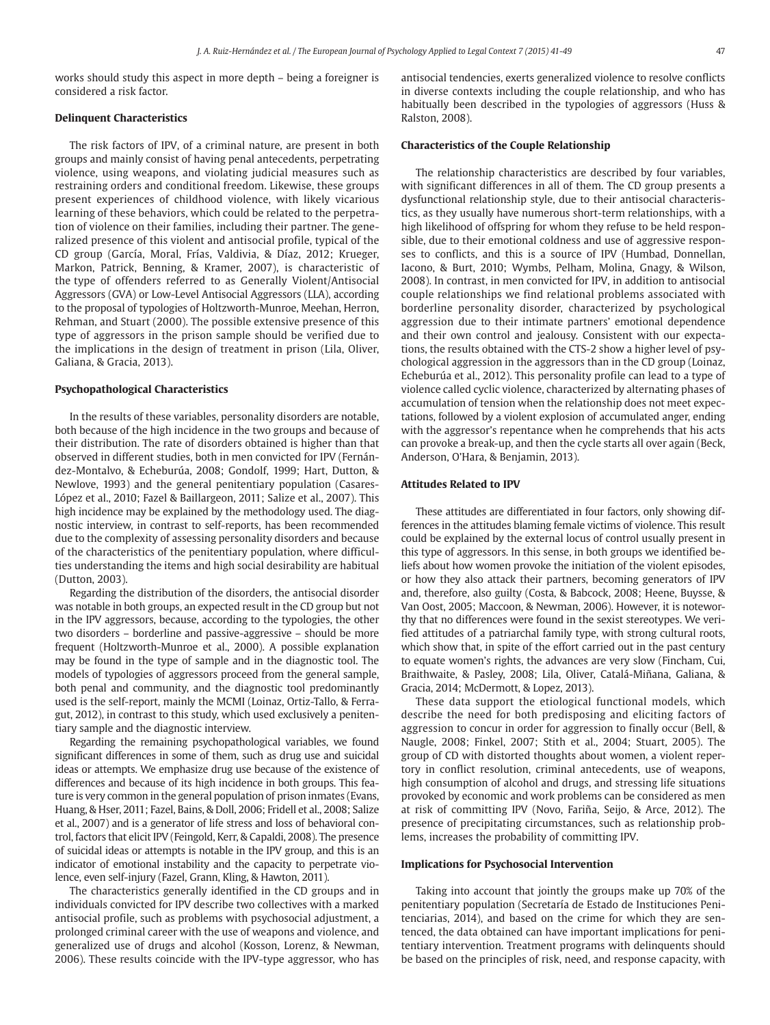works should study this aspect in more depth – being a foreigner is considered a risk factor.

#### **Delinquent Characteristics**

The risk factors of IPV, of a criminal nature, are present in both groups and mainly consist of having penal antecedents, perpetrating violence, using weapons, and violating judicial measures such as restraining orders and conditional freedom. Likewise, these groups present experiences of childhood violence, with likely vicarious learning of these behaviors, which could be related to the perpetration of violence on their families, including their partner. The generalized presence of this violent and antisocial profile, typical of the CD group (García, Moral, Frías, Valdivia, & Díaz, 2012; Krueger, Markon, Patrick, Benning, & Kramer, 2007), is characteristic of the type of offenders referred to as Generally Violent/Antisocial Aggressors (GVA) or Low-Level Antisocial Aggressors (LLA), according to the proposal of typologies of Holtzworth-Munroe, Meehan, Herron, Rehman, and Stuart (2000). The possible extensive presence of this type of aggressors in the prison sample should be verified due to the implications in the design of treatment in prison (Lila, Oliver, Galiana, & Gracia, 2013).

#### **Psychopathological Characteristics**

In the results of these variables, personality disorders are notable, both because of the high incidence in the two groups and because of their distribution. The rate of disorders obtained is higher than that observed in different studies, both in men convicted for IPV (Fernández-Montalvo, & Echeburúa, 2008; Gondolf, 1999; Hart, Dutton, & Newlove, 1993) and the general penitentiary population (Casares-López et al., 2010; Fazel & Baillargeon, 2011; Salize et al., 2007). This high incidence may be explained by the methodology used. The diagnostic interview, in contrast to self-reports, has been recommended due to the complexity of assessing personality disorders and because of the characteristics of the penitentiary population, where difficulties understanding the items and high social desirability are habitual (Dutton, 2003).

Regarding the distribution of the disorders, the antisocial disorder was notable in both groups, an expected result in the CD group but not in the IPV aggressors, because, according to the typologies, the other two disorders – borderline and passive-aggressive – should be more frequent (Holtzworth-Munroe et al., 2000). A possible explanation may be found in the type of sample and in the diagnostic tool. The models of typologies of aggressors proceed from the general sample, both penal and community, and the diagnostic tool predominantly used is the self-report, mainly the MCMI (Loinaz, Ortiz-Tallo, & Ferragut, 2012), in contrast to this study, which used exclusively a penitentiary sample and the diagnostic interview.

Regarding the remaining psychopathological variables, we found significant differences in some of them, such as drug use and suicidal ideas or attempts. We emphasize drug use because of the existence of differences and because of its high incidence in both groups. This feature is very common in the general population of prison inmates (Evans, Huang, & Hser, 2011; Fazel, Bains, & Doll, 2006; Fridell et al., 2008; Salize et al., 2007) and is a generator of life stress and loss of behavioral control, factors that elicit IPV (Feingold, Kerr, & Capaldi, 2008). The presence of suicidal ideas or attempts is notable in the IPV group, and this is an indicator of emotional instability and the capacity to perpetrate violence, even self-injury (Fazel, Grann, Kling, & Hawton, 2011).

The characteristics generally identified in the CD groups and in individuals convicted for IPV describe two collectives with a marked antisocial profile, such as problems with psychosocial adjustment, a prolonged criminal career with the use of weapons and violence, and generalized use of drugs and alcohol (Kosson, Lorenz, & Newman, 2006). These results coincide with the IPV-type aggressor, who has antisocial tendencies, exerts generalized violence to resolve conflicts in diverse contexts including the couple relationship, and who has habitually been described in the typologies of aggressors (Huss & Ralston, 2008).

#### **Characteristics of the Couple Relationship**

The relationship characteristics are described by four variables, with significant differences in all of them. The CD group presents a dysfunctional relationship style, due to their antisocial characteristics, as they usually have numerous short-term relationships, with a high likelihood of offspring for whom they refuse to be held responsible, due to their emotional coldness and use of aggressive responses to conflicts, and this is a source of IPV (Humbad, Donnellan, Iacono, & Burt, 2010; Wymbs, Pelham, Molina, Gnagy, & Wilson, 2008). In contrast, in men convicted for IPV, in addition to antisocial couple relationships we find relational problems associated with borderline personality disorder, characterized by psychological aggression due to their intimate partners' emotional dependence and their own control and jealousy. Consistent with our expectations, the results obtained with the CTS-2 show a higher level of psychological aggression in the aggressors than in the CD group (Loinaz, Echeburúa et al., 2012). This personality profile can lead to a type of violence called cyclic violence, characterized by alternating phases of accumulation of tension when the relationship does not meet expectations, followed by a violent explosion of accumulated anger, ending with the aggressor's repentance when he comprehends that his acts can provoke a break-up, and then the cycle starts all over again (Beck, Anderson, O'Hara, & Benjamin, 2013).

#### **Attitudes Related to IPV**

These attitudes are differentiated in four factors, only showing differences in the attitudes blaming female victims of violence. This result could be explained by the external locus of control usually present in this type of aggressors. In this sense, in both groups we identified beliefs about how women provoke the initiation of the violent episodes, or how they also attack their partners, becoming generators of IPV and, therefore, also guilty (Costa, & Babcock, 2008; Heene, Buysse, & Van Oost, 2005; Maccoon, & Newman, 2006). However, it is noteworthy that no differences were found in the sexist stereotypes. We verified attitudes of a patriarchal family type, with strong cultural roots, which show that, in spite of the effort carried out in the past century to equate women's rights, the advances are very slow (Fincham, Cui, Braithwaite, & Pasley, 2008; Lila, Oliver, Catalá-Miñana, Galiana, & Gracia, 2014; McDermott, & Lopez, 2013).

These data support the etiological functional models, which describe the need for both predisposing and eliciting factors of aggression to concur in order for aggression to finally occur (Bell, & Naugle, 2008; Finkel, 2007; Stith et al., 2004; Stuart, 2005). The group of CD with distorted thoughts about women, a violent repertory in conflict resolution, criminal antecedents, use of weapons, high consumption of alcohol and drugs, and stressing life situations provoked by economic and work problems can be considered as men at risk of committing IPV (Novo, Fariña, Seijo, & Arce, 2012). The presence of precipitating circumstances, such as relationship problems, increases the probability of committing IPV.

#### **Implications for Psychosocial Intervention**

Taking into account that jointly the groups make up 70% of the penitentiary population (Secretaría de Estado de Instituciones Penitenciarias, 2014), and based on the crime for which they are sentenced, the data obtained can have important implications for penitentiary intervention. Treatment programs with delinquents should be based on the principles of risk, need, and response capacity, with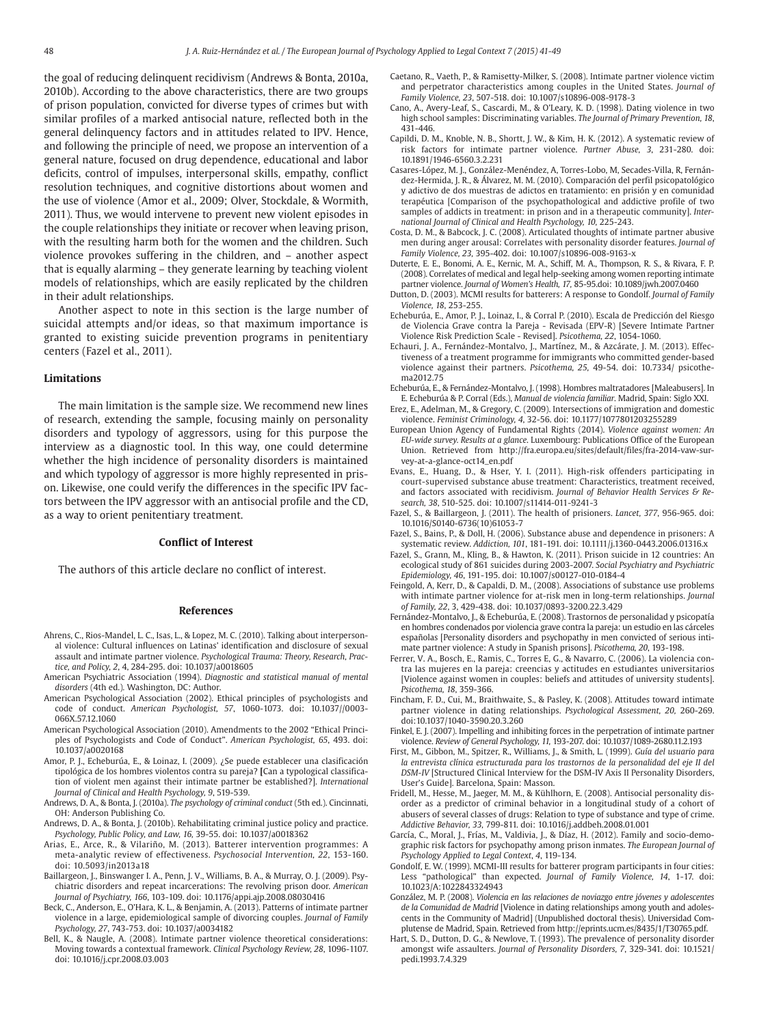the goal of reducing delinquent recidivism (Andrews & Bonta, 2010a, 2010b). According to the above characteristics, there are two groups of prison population, convicted for diverse types of crimes but with similar profiles of a marked antisocial nature, reflected both in the general delinquency factors and in attitudes related to IPV. Hence, and following the principle of need, we propose an intervention of a general nature, focused on drug dependence, educational and labor deficits, control of impulses, interpersonal skills, empathy, conflict resolution techniques, and cognitive distortions about women and the use of violence (Amor et al., 2009; Olver, Stockdale, & Wormith, 2011). Thus, we would intervene to prevent new violent episodes in the couple relationships they initiate or recover when leaving prison, with the resulting harm both for the women and the children. Such violence provokes suffering in the children, and – another aspect that is equally alarming – they generate learning by teaching violent models of relationships, which are easily replicated by the children in their adult relationships.

Another aspect to note in this section is the large number of suicidal attempts and/or ideas, so that maximum importance is granted to existing suicide prevention programs in penitentiary centers (Fazel et al., 2011).

#### **Limitations**

The main limitation is the sample size. We recommend new lines of research, extending the sample, focusing mainly on personality disorders and typology of aggressors, using for this purpose the interview as a diagnostic tool. In this way, one could determine whether the high incidence of personality disorders is maintained and which typology of aggressor is more highly represented in prison. Likewise, one could verify the differences in the specific IPV factors between the IPV aggressor with an antisocial profile and the CD, as a way to orient penitentiary treatment.

# **Conflict of Interest**

The authors of this article declare no conflict of interest.

#### **References**

- Ahrens, C., Rios-Mandel, L. C., Isas, L., & Lopez, M. C. (2010). Talking about interpersonal violence: Cultural influences on Latinas' identification and disclosure of sexual assault and intimate partner violence. *Psychological Trauma: Theory, Research, Practice, and Policy, 2*, 4, 284-295. doi: 10.1037/a0018605
- American Psychiatric Association (1994). *Diagnostic and statistical manual of mental disorders* (4th ed.)*.* Washington, DC: Author.
- American Psychological Association (2002). Ethical principles of psychologists and code of conduct. *American Psychologist, 57*, 1060-1073. doi: 10.1037//0003- 066X.57.12.1060
- American Psychological Association (2010). Amendments to the 2002 "Ethical Principles of Psychologists and Code of Conduct". *American Psychologist, 65*, 493. doi: 10.1037/a0020168
- Amor, P. J., Echeburúa, E., & Loinaz, I. (2009). ¿Se puede establecer una clasificación tipológica de los hombres violentos contra su pareja? **[**Can a typological classification of violent men against their intimate partner be established?]. *International Journal of Clinical and Health Psychology, 9*, 519-539.
- Andrews, D. A., & Bonta, J. (2010a). *The psychology of criminal conduct* (5th ed.). Cincinnati, OH: Anderson Publishing Co.
- Andrews, D. A., & Bonta, J. (2010b). Rehabilitating criminal justice policy and practice. *Psychology, Public Policy, and Law, 16,* 39-55. doi: 10.1037/a0018362
- Arias, E., Arce, R., & Vilariño, M. (2013). Batterer intervention programmes: A meta-analytic review of effectiveness. *Psychosocial Intervention, 22*, 153-160. doi: 10.5093/in2013a18
- Baillargeon, J., Binswanger I. A., Penn, J. V., Williams, B. A., & Murray, O. J. (2009). Psychiatric disorders and repeat incarcerations: The revolving prison door. *American Journal of Psychiatry, 166*, 103-109. doi: 10.1176/appi.ajp.2008.08030416
- Beck, C., Anderson, E., O'Hara, K. L., & Benjamin, A. (2013). Patterns of intimate partner violence in a large, epidemiological sample of divorcing couples. *Journal of Family Psychology, 27*, 743-753. doi: 10.1037/a0034182
- Bell, K., & Naugle, A. (2008). Intimate partner violence theoretical considerations: Moving towards a contextual framework. *Clinical Psychology Review, 28*, 1096-1107. doi: 10.1016/j.cpr.2008.03.003
- Caetano, R., Vaeth, P., & Ramisetty-Milker, S. (2008). Intimate partner violence victim and perpetrator characteristics among couples in the United States. *Journal of Family Violence, 23*, 507-518. doi: 10.1007/s10896-008-9178-3
- Cano, A., Avery-Leaf, S., Cascardi, M., & O'Leary, K. D. (1998). Dating violence in two high school samples: Discriminating variables. *The Journal of Primary Prevention, 18*, 431-446.
- Capildi, D. M., Knoble, N. B., Shortt, J. W., & Kim, H. K. (2012). A systematic review of risk factors for intimate partner violence. *Partner Abuse, 3*, 231-280. doi: 10.1891/1946-6560.3.2.231
- Casares-López, M. J., González-Menéndez, A, Torres-Lobo, M, Secades-Villa, R, Fernández-Hermida, J. R., & Álvarez, M. M. (2010). Comparación del perfil psicopatológico y adictivo de dos muestras de adictos en tratamiento: en prisión y en comunidad terapéutica [Comparison of the psychopathological and addictive profile of two samples of addicts in treatment: in prison and in a therapeutic community]. *International Journal of Clinical and Health Psychology, 10, 225-243.*
- Costa, D. M., & Babcock, J. C. (2008). Articulated thoughts of intimate partner abusive men during anger arousal: Correlates with personality disorder features. *Journal of Family Violence, 23,* 395-402. doi: 10.1007/s10896-008-9163-x
- Duterte, E. E., Bonomi, A. E., Kernic, M. A., Schiff, M. A., Thompson, R. S., & Rivara, F. P. (2008). Correlates of medical and legal help-seeking among women reporting intimate partner violence. *Journal of Women's Health, 17,* 85-95.doi: 10.1089/jwh.2007.0460
- Dutton, D. (2003). MCMI results for batterers: A response to Gondolf. *Journal of Family Violence, 18*, 253-255.
- Echeburúa, E., Amor, P. J., Loinaz, I., & Corral P. (2010). Escala de Predicción del Riesgo de Violencia Grave contra la Pareja - Revisada (EPV-R) [Severe Intimate Partner Violence Risk Prediction Scale - Revised]. *Psicothema, 22*, 1054-1060.
- Echauri, J. A., Fernández-Montalvo, J., Martínez, M., & Azcárate, J. M. (2013). Effectiveness of a treatment programme for immigrants who committed gender-based violence against their partners. *Psicothema, 25,* 49-54. doi: 10.7334/ psicothema2012.75
- Echeburúa, E., & Fernández-Montalvo, J. (1998). Hombres maltratadores [Maleabusers]. In E. Echeburúa & P. Corral (Eds.), *Manual de violencia familiar*. Madrid, Spain: Siglo XXI.
- Erez, E., Adelman, M., & Gregory, C. (2009). Intersections of immigration and domestic violence. *Feminist Criminology, 4*, 32-56. doi: 10.1177/1077801203255289
- European Union Agency of Fundamental Rights (2014). *Violence against women: An EU-wide survey. Results at a glance*. Luxembourg: Publications Office of the European Union. Retrieved from http://fra.europa.eu/sites/default/files/fra-2014-vaw-survey-at-a-glance-oct14\_en.pdf
- Evans, E., Huang, D., & Hser, Y. I. (2011). High-risk offenders participating in court-supervised substance abuse treatment: Characteristics, treatment received, and factors associated with recidivism. *Journal of Behavior Health Services & Research, 38*, 510-525. doi: 10.1007/s11414-011-9241-3
- Fazel, S., & Baillargeon, J. (2011). The health of prisioners. *Lancet, 377*, 956-965. doi: 10.1016/S0140-6736(10)61053-7
- Fazel, S., Bains, P., & Doll, H. (2006). Substance abuse and dependence in prisoners: A systematic review. *Addiction, 101*, 181-191. doi: 10.1111/j.1360-0443.2006.01316.x
- Fazel, S., Grann, M., Kling, B., & Hawton, K. (2011). Prison suicide in 12 countries: An ecological study of 861 suicides during 2003-2007. *Social Psychiatry and Psychiatric Epidemiology, 46*, 191-195. doi: 10.1007/s00127-010-0184-4
- Feingold, A, Kerr, D., & Capaldi, D. M., (2008). Associations of substance use problems with intimate partner violence for at-risk men in long-term relationships. *Journal of Family, 22*, 3, 429-438. doi: 10.1037/0893-3200.22.3.429
- Fernández-Montalvo, J., & Echeburúa, E. (2008). Trastornos de personalidad y psicopatía en hombres condenados por violencia grave contra la pareja: un estudio en las cárceles españolas [Personality disorders and psychopathy in men convicted of serious intimate partner violence: A study in Spanish prisons]. *Psicothema, 20*, 193-198.
- Ferrer, V. A., Bosch, E., Ramis, C., Torres E, G., & Navarro, C. (2006). La violencia contra las mujeres en la pareja: creencias y actitudes en estudiantes universitarios [Violence against women in couples: beliefs and attitudes of university students]. *Psicothema, 18*, 359-366.
- Fincham, F. D., Cui, M., Braithwaite, S., & Pasley, K. (2008). Attitudes toward intimate partner violence in dating relationships. *Psychological Assessment, 20,* 260-269. doi:10.1037/1040-3590.20.3.260
- Finkel, E. J. (2007). Impelling and inhibiting forces in the perpetration of intimate partner violence. *Review of General Psychology, 11,* 193-207. doi: 10.1037/1089-2680.11.2.193
- First, M., Gibbon, M., Spitzer, R., Williams, J., & Smith, L. (1999). *Guía del usuario para la entrevista clínica estructurada para los trastornos de la personalidad del eje II del DSM-IV* [Structured Clinical Interview for the DSM-IV Axis II Personality Disorders, User's Guide]. Barcelona, Spain: Masson.
- Fridell, M., Hesse, M., Jaeger, M. M., & Kühlhorn, E. (2008). Antisocial personality disorder as a predictor of criminal behavior in a longitudinal study of a cohort of abusers of several classes of drugs: Relation to type of substance and type of crime. *Addictive Behavior, 33,* 799-811. doi: 10.1016/j.addbeh.2008.01.001
- García, C., Moral, J., Frías, M., Valdivia, J., & Díaz, H. (2012). Family and socio-demographic risk factors for psychopathy among prison inmates. *The European Journal of Psychology Applied to Legal Context*, *4*, 119-134.
- Gondolf, E. W. (1999). MCMI-III results for batterer program participants in four cities: Less "pathological" than expected. *Journal of Family Violence, 14*, 1-17. doi: 10.1023/A:1022843324943
- González, M. P. (2008). *Violencia en las relaciones de noviazgo entre jóvenes y adolescentes de la Comunidad de Madrid* [Violence in dating relationships among youth and adolescents in the Community of Madrid] (Unpublished doctoral thesis). Universidad Complutense de Madrid, Spain. Retrieved from http://eprints.ucm.es/8435/1/T30765.pdf.
- Hart, S. D., Dutton, D. G., & Newlove, T. (1993). The prevalence of personality disorder amongst wife assaulters. *Journal of Personality Disorders, 7*, 329-341. doi: 10.1521/ pedi.1993.7.4.329